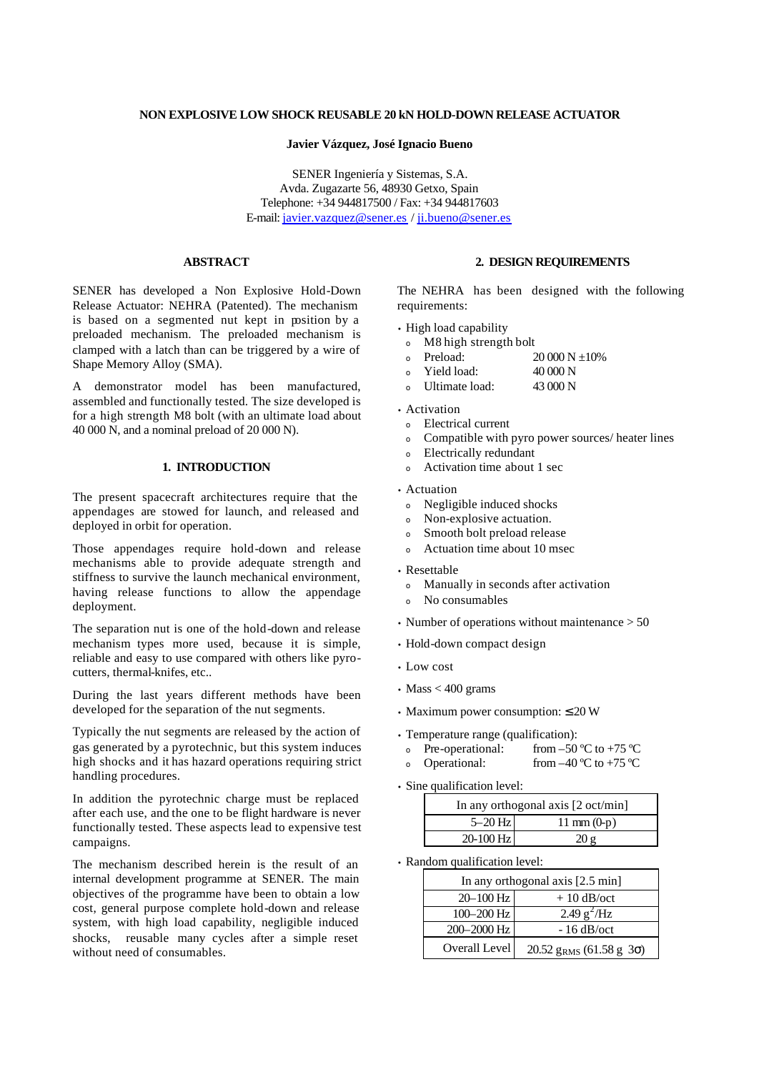# **NON EXPLOSIVE LOW SHOCK REUSABLE 20 kN HOLD-DOWN RELEASE ACTUATOR**

### **Javier Vázquez, José Ignacio Bueno**

SENER Ingeniería y Sistemas, S.A. Avda. Zugazarte 56, 48930 Getxo, Spain Telephone: +34 944817500 / Fax: +34 944817603 E-mail: javier.vazquez@sener.es / ji.bueno@sener.es

# **ABSTRACT**

SENER has developed a Non Explosive Hold-Down Release Actuator: NEHRA (Patented). The mechanism is based on a segmented nut kept in position by a preloaded mechanism. The preloaded mechanism is clamped with a latch than can be triggered by a wire of Shape Memory Alloy (SMA).

A demonstrator model has been manufactured, assembled and functionally tested. The size developed is for a high strength M8 bolt (with an ultimate load about 40 000 N, and a nominal preload of 20 000 N).

# **1. INTRODUCTION**

The present spacecraft architectures require that the appendages are stowed for launch, and released and deployed in orbit for operation.

Those appendages require hold-down and release mechanisms able to provide adequate strength and stiffness to survive the launch mechanical environment, having release functions to allow the appendage deployment.

The separation nut is one of the hold-down and release mechanism types more used, because it is simple, reliable and easy to use compared with others like pyrocutters, thermal-knifes, etc..

During the last years different methods have been developed for the separation of the nut segments.

Typically the nut segments are released by the action of gas generated by a pyrotechnic, but this system induces high shocks and it has hazard operations requiring strict handling procedures.

In addition the pyrotechnic charge must be replaced after each use, and the one to be flight hardware is never functionally tested. These aspects lead to expensive test campaigns.

The mechanism described herein is the result of an internal development programme at SENER. The main objectives of the programme have been to obtain a low cost, general purpose complete hold-down and release system, with high load capability, negligible induced shocks, reusable many cycles after a simple reset without need of consumables.

## **2. DESIGN REQUIREMENTS**

The NEHRA has been designed with the following requirements:

- High load capability
	- <sup>ο</sup> M8 high strength bolt
	- o Preload:  $20\,000\,\text{N} + 10\%$
	- <sup>ο</sup> Yield load: 40 000 N
- Ultimate load: 43 000 N
- Activation
	- <sup>ο</sup> Electrical current
	- <sup>ο</sup> Compatible with pyro power sources/ heater lines
	- <sup>ο</sup> Electrically redundant
	- Activation time about 1 sec

• Actuation

- <sup>ο</sup> Negligible induced shocks
- <sup>ο</sup> Non-explosive actuation.
- Smooth bolt preload release
- <sup>ο</sup> Actuation time about 10 msec
- Resettable
	- <sup>ο</sup> Manually in seconds after activation
	- <sup>ο</sup> No consumables
- Number of operations without maintenance > 50
- Hold-down compact design
- Low cost
- Mass  $<$  400 grams
- Maximum power consumption:  $\leq 20$  W
- Temperature range (qualification):
- o Pre-operational: from –50 °C to +75 °C
- Operational: from  $-40^{\circ}$ C to  $+75^{\circ}$ C
- Sine qualification level:

| In any orthogonal axis $[2 \text{ oct/min}]$ |                       |
|----------------------------------------------|-----------------------|
| $5-20$ Hz                                    | $11 \text{ mm} (0-p)$ |
| 20-100 Hz                                    | 20g                   |

• Random qualification level:

| In any orthogonal axis [2.5 min] |                                         |
|----------------------------------|-----------------------------------------|
| 20-100 Hz                        | $+10$ dB/oct                            |
| $100 - 200$ Hz                   | 2.49 $g^2$ /Hz                          |
| 200-2000 Hz                      | $-16$ dB/oct                            |
| Overall Level                    | 20.52 $g_{RMS}$ (61.58 $g$ 3 $\sigma$ ) |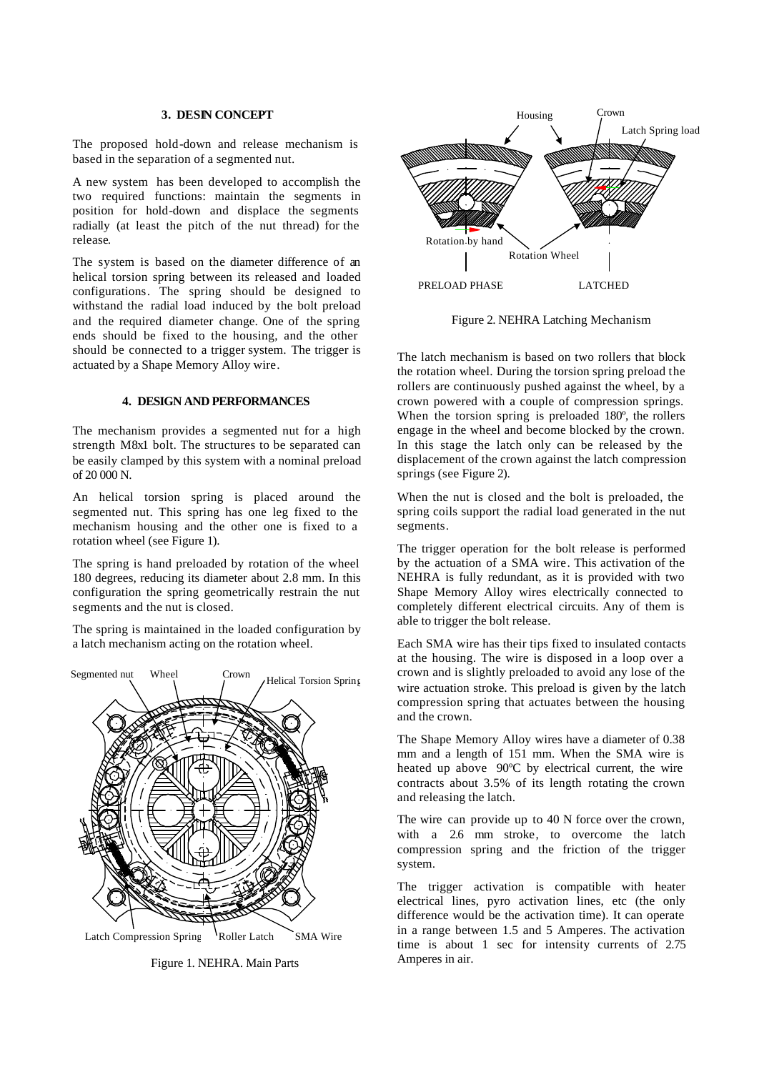#### **3. DESIN CONCEPT**

The proposed hold-down and release mechanism is based in the separation of a segmented nut.

A new system has been developed to accomplish the two required functions: maintain the segments in position for hold-down and displace the segments radially (at least the pitch of the nut thread) for the release.

The system is based on the diameter difference of an helical torsion spring between its released and loaded configurations. The spring should be designed to withstand the radial load induced by the bolt preload and the required diameter change. One of the spring ends should be fixed to the housing, and the other should be connected to a trigger system. The trigger is actuated by a Shape Memory Alloy wire.

# **4. DESIGN AND PERFORMANCES**

The mechanism provides a segmented nut for a high strength M8x1 bolt. The structures to be separated can be easily clamped by this system with a nominal preload of 20 000 N.

An helical torsion spring is placed around the segmented nut. This spring has one leg fixed to the mechanism housing and the other one is fixed to a rotation wheel (see Figure 1).

The spring is hand preloaded by rotation of the wheel 180 degrees, reducing its diameter about 2.8 mm. In this configuration the spring geometrically restrain the nut segments and the nut is closed.

The spring is maintained in the loaded configuration by a latch mechanism acting on the rotation wheel.



Figure 1. NEHRA. Main Parts



Figure 2. NEHRA Latching Mechanism

The latch mechanism is based on two rollers that block the rotation wheel. During the torsion spring preload the rollers are continuously pushed against the wheel, by a crown powered with a couple of compression springs. When the torsion spring is preloaded 180º, the rollers engage in the wheel and become blocked by the crown. In this stage the latch only can be released by the displacement of the crown against the latch compression springs (see Figure 2).

When the nut is closed and the bolt is preloaded, the spring coils support the radial load generated in the nut segments.

The trigger operation for the bolt release is performed by the actuation of a SMA wire. This activation of the NEHRA is fully redundant, as it is provided with two Shape Memory Alloy wires electrically connected to completely different electrical circuits. Any of them is able to trigger the bolt release.

Each SMA wire has their tips fixed to insulated contacts at the housing. The wire is disposed in a loop over a crown and is slightly preloaded to avoid any lose of the wire actuation stroke. This preload is given by the latch compression spring that actuates between the housing and the crown.

The Shape Memory Alloy wires have a diameter of 0.38 mm and a length of 151 mm. When the SMA wire is heated up above 90ºC by electrical current, the wire contracts about 3.5% of its length rotating the crown and releasing the latch.

The wire can provide up to 40 N force over the crown, with a 2.6 mm stroke, to overcome the latch compression spring and the friction of the trigger system.

The trigger activation is compatible with heater electrical lines, pyro activation lines, etc (the only difference would be the activation time). It can operate in a range between 1.5 and 5 Amperes. The activation time is about 1 sec for intensity currents of 2.75 Amperes in air.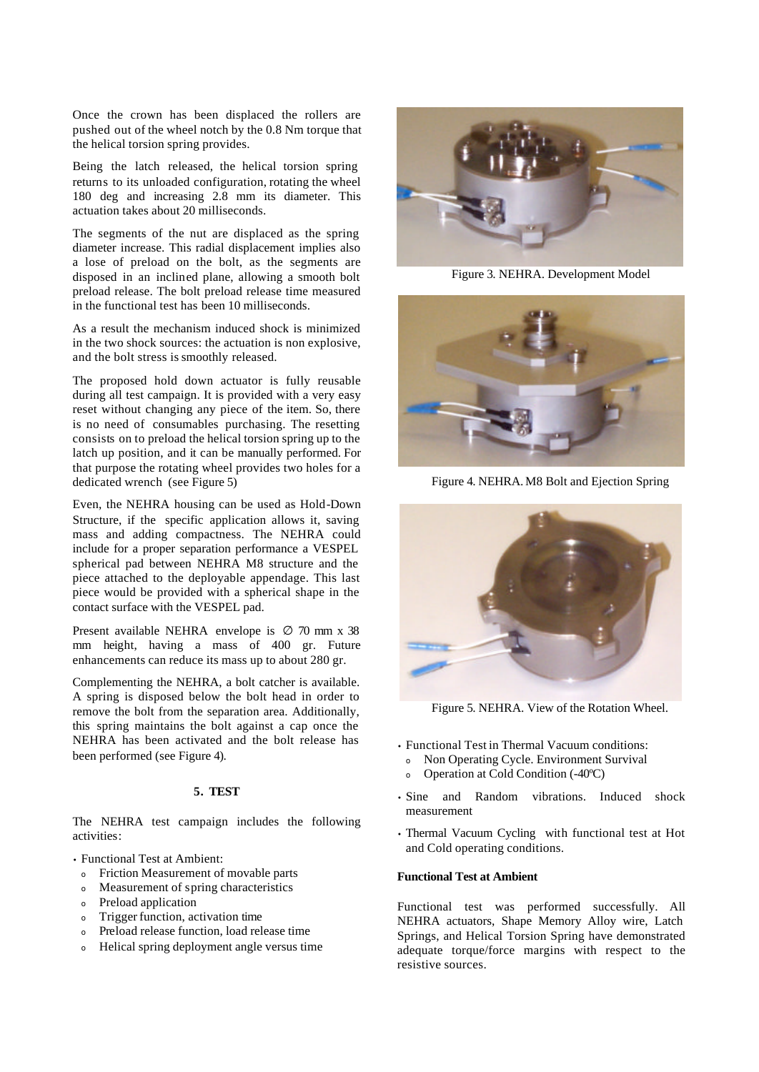Once the crown has been displaced the rollers are pushed out of the wheel notch by the 0.8 Nm torque that the helical torsion spring provides.

Being the latch released, the helical torsion spring returns to its unloaded configuration, rotating the wheel 180 deg and increasing 2.8 mm its diameter. This actuation takes about 20 milliseconds.

The segments of the nut are displaced as the spring diameter increase. This radial displacement implies also a lose of preload on the bolt, as the segments are disposed in an inclined plane, allowing a smooth bolt preload release. The bolt preload release time measured in the functional test has been 10 milliseconds.

As a result the mechanism induced shock is minimized in the two shock sources: the actuation is non explosive, and the bolt stress is smoothly released.

The proposed hold down actuator is fully reusable during all test campaign. It is provided with a very easy reset without changing any piece of the item. So, there is no need of consumables purchasing. The resetting consists on to preload the helical torsion spring up to the latch up position, and it can be manually performed. For that purpose the rotating wheel provides two holes for a dedicated wrench (see Figure 5)

Even, the NEHRA housing can be used as Hold-Down Structure, if the specific application allows it, saving mass and adding compactness. The NEHRA could include for a proper separation performance a VESPEL spherical pad between NEHRA M8 structure and the piece attached to the deployable appendage. This last piece would be provided with a spherical shape in the contact surface with the VESPEL pad.

Present available NEHRA envelope is  $\varnothing$  70 mm x 38 mm height, having a mass of 400 gr. Future enhancements can reduce its mass up to about 280 gr.

Complementing the NEHRA, a bolt catcher is available. A spring is disposed below the bolt head in order to remove the bolt from the separation area. Additionally, this spring maintains the bolt against a cap once the NEHRA has been activated and the bolt release has been performed (see Figure 4).

# **5. TEST**

The NEHRA test campaign includes the following activities:

• Functional Test at Ambient:

- <sup>ο</sup> Friction Measurement of movable parts
- <sup>ο</sup> Measurement of spring characteristics
- <sup>ο</sup> Preload application
- <sup>ο</sup> Trigger function, activation time
- <sup>ο</sup> Preload release function, load release time
- <sup>ο</sup> Helical spring deployment angle versus time



Figure 3. NEHRA. Development Model



Figure 4. NEHRA. M8 Bolt and Ejection Spring



Figure 5. NEHRA. View of the Rotation Wheel.

- Functional Test in Thermal Vacuum conditions:
	- <sup>ο</sup> Non Operating Cycle. Environment Survival
- <sup>ο</sup> Operation at Cold Condition (-40ºC)
- Sine and Random vibrations. Induced shock measurement
- Thermal Vacuum Cycling with functional test at Hot and Cold operating conditions.

### **Functional Test at Ambient**

Functional test was performed successfully. All NEHRA actuators, Shape Memory Alloy wire, Latch Springs, and Helical Torsion Spring have demonstrated adequate torque/force margins with respect to the resistive sources.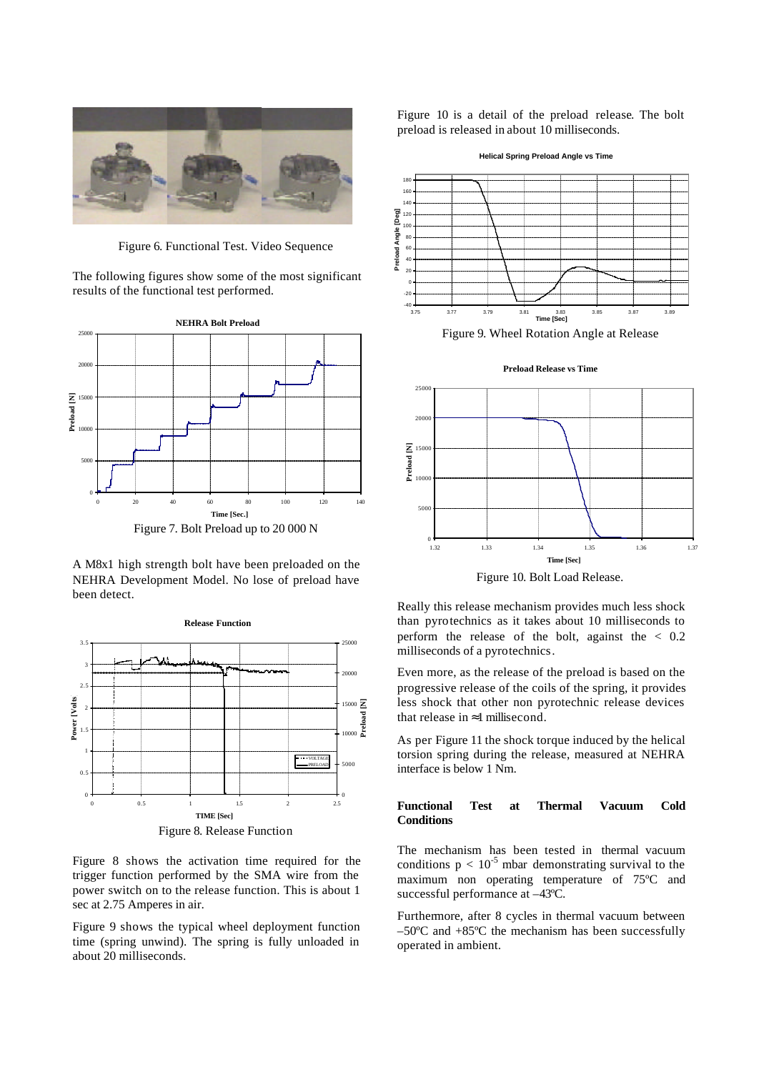

Figure 6. Functional Test. Video Sequence

The following figures show some of the most significant results of the functional test performed.



A M8x1 high strength bolt have been preloaded on the NEHRA Development Model. No lose of preload have been detect.



Figure 8 shows the activation time required for the trigger function performed by the SMA wire from the power switch on to the release function. This is about 1 sec at 2.75 Amperes in air.

Figure 9 shows the typical wheel deployment function time (spring unwind). The spring is fully unloaded in about 20 milliseconds.

Figure 10 is a detail of the preload release. The bolt preload is released in about 10 milliseconds.



Figure 9. Wheel Rotation Angle at Release

**Preload Release vs Time**



Figure 10. Bolt Load Release.

Really this release mechanism provides much less shock than pyrotechnics as it takes about 10 milliseconds to perform the release of the bolt, against the  $\langle 0.2 \rangle$ milliseconds of a pyrotechnics.

Even more, as the release of the preload is based on the progressive release of the coils of the spring, it provides less shock that other non pyrotechnic release devices that release in  $\approx$ 1 millisecond.

As per Figure 11 the shock torque induced by the helical torsion spring during the release, measured at NEHRA interface is below 1 Nm.

# **Functional Test at Thermal Vacuum Cold Conditions**

The mechanism has been tested in thermal vacuum conditions  $p < 10^{-5}$  mbar demonstrating survival to the maximum non operating temperature of 75ºC and successful performance at –43ºC.

Furthermore, after 8 cycles in thermal vacuum between –50ºC and +85ºC the mechanism has been successfully operated in ambient.